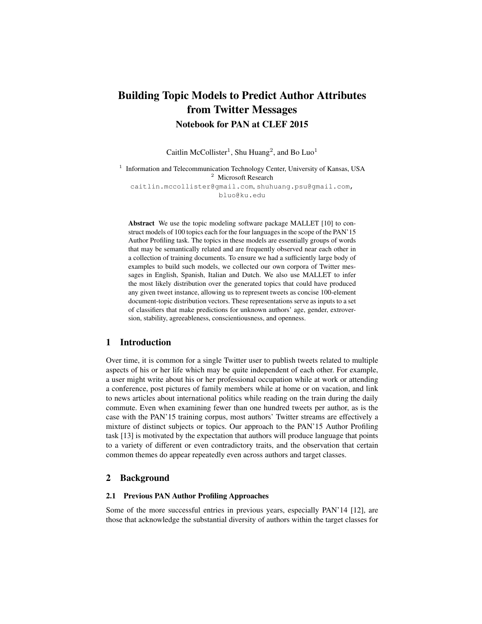# Building Topic Models to Predict Author Attributes from Twitter Messages Notebook for PAN at CLEF 2015

Caitlin McCollister<sup>1</sup>, Shu Huang<sup>2</sup>, and Bo Luo<sup>1</sup>

1 Information and Telecommunication Technology Center, University of Kansas, USA <sup>2</sup> Microsoft Research caitlin.mccollister@gmail.com, shuhuang.psu@gmail.com, bluo@ku.edu

Abstract We use the topic modeling software package MALLET [10] to construct models of 100 topics each for the four languages in the scope of the PAN'15 Author Profiling task. The topics in these models are essentially groups of words that may be semantically related and are frequently observed near each other in a collection of training documents. To ensure we had a sufficiently large body of examples to build such models, we collected our own corpora of Twitter messages in English, Spanish, Italian and Dutch. We also use MALLET to infer the most likely distribution over the generated topics that could have produced any given tweet instance, allowing us to represent tweets as concise 100-element document-topic distribution vectors. These representations serve as inputs to a set of classifiers that make predictions for unknown authors' age, gender, extroversion, stability, agreeableness, conscientiousness, and openness.

# 1 Introduction

Over time, it is common for a single Twitter user to publish tweets related to multiple aspects of his or her life which may be quite independent of each other. For example, a user might write about his or her professional occupation while at work or attending a conference, post pictures of family members while at home or on vacation, and link to news articles about international politics while reading on the train during the daily commute. Even when examining fewer than one hundred tweets per author, as is the case with the PAN'15 training corpus, most authors' Twitter streams are effectively a mixture of distinct subjects or topics. Our approach to the PAN'15 Author Profiling task [13] is motivated by the expectation that authors will produce language that points to a variety of different or even contradictory traits, and the observation that certain common themes do appear repeatedly even across authors and target classes.

## 2 Background

## 2.1 Previous PAN Author Profiling Approaches

Some of the more successful entries in previous years, especially PAN'14 [12], are those that acknowledge the substantial diversity of authors within the target classes for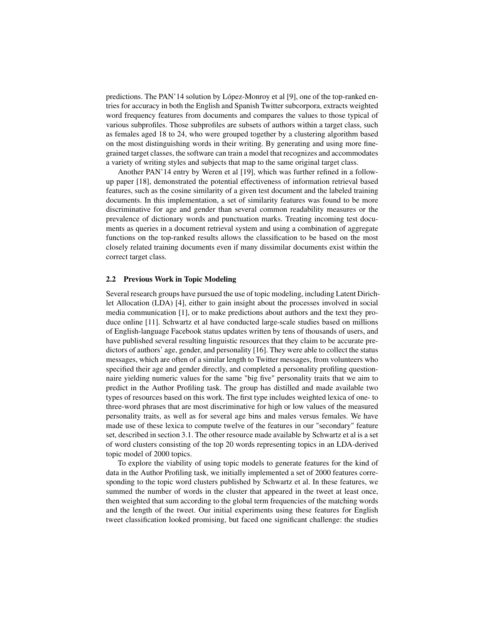predictions. The PAN'14 solution by López-Monroy et al [9], one of the top-ranked entries for accuracy in both the English and Spanish Twitter subcorpora, extracts weighted word frequency features from documents and compares the values to those typical of various subprofiles. Those subprofiles are subsets of authors within a target class, such as females aged 18 to 24, who were grouped together by a clustering algorithm based on the most distinguishing words in their writing. By generating and using more finegrained target classes, the software can train a model that recognizes and accommodates a variety of writing styles and subjects that map to the same original target class.

Another PAN'14 entry by Weren et al [19], which was further refined in a followup paper [18], demonstrated the potential effectiveness of information retrieval based features, such as the cosine similarity of a given test document and the labeled training documents. In this implementation, a set of similarity features was found to be more discriminative for age and gender than several common readability measures or the prevalence of dictionary words and punctuation marks. Treating incoming test documents as queries in a document retrieval system and using a combination of aggregate functions on the top-ranked results allows the classification to be based on the most closely related training documents even if many dissimilar documents exist within the correct target class.

#### 2.2 Previous Work in Topic Modeling

Several research groups have pursued the use of topic modeling, including Latent Dirichlet Allocation (LDA) [4], either to gain insight about the processes involved in social media communication [1], or to make predictions about authors and the text they produce online [11]. Schwartz et al have conducted large-scale studies based on millions of English-language Facebook status updates written by tens of thousands of users, and have published several resulting linguistic resources that they claim to be accurate predictors of authors' age, gender, and personality [16]. They were able to collect the status messages, which are often of a similar length to Twitter messages, from volunteers who specified their age and gender directly, and completed a personality profiling questionnaire yielding numeric values for the same "big five" personality traits that we aim to predict in the Author Profiling task. The group has distilled and made available two types of resources based on this work. The first type includes weighted lexica of one- to three-word phrases that are most discriminative for high or low values of the measured personality traits, as well as for several age bins and males versus females. We have made use of these lexica to compute twelve of the features in our "secondary" feature set, described in section 3.1. The other resource made available by Schwartz et al is a set of word clusters consisting of the top 20 words representing topics in an LDA-derived topic model of 2000 topics.

To explore the viability of using topic models to generate features for the kind of data in the Author Profiling task, we initially implemented a set of 2000 features corresponding to the topic word clusters published by Schwartz et al. In these features, we summed the number of words in the cluster that appeared in the tweet at least once, then weighted that sum according to the global term frequencies of the matching words and the length of the tweet. Our initial experiments using these features for English tweet classification looked promising, but faced one significant challenge: the studies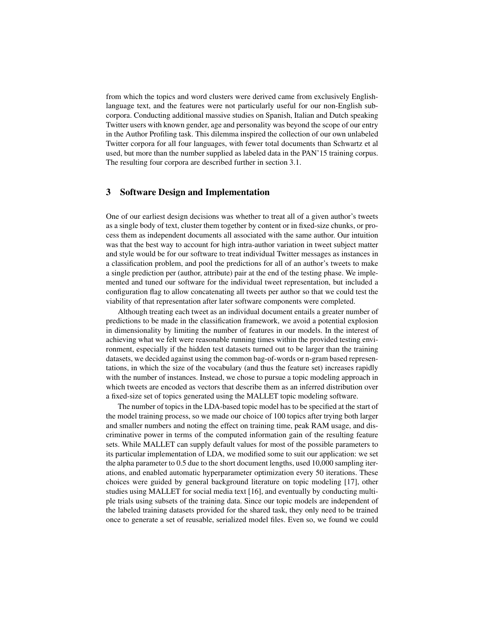from which the topics and word clusters were derived came from exclusively Englishlanguage text, and the features were not particularly useful for our non-English subcorpora. Conducting additional massive studies on Spanish, Italian and Dutch speaking Twitter users with known gender, age and personality was beyond the scope of our entry in the Author Profiling task. This dilemma inspired the collection of our own unlabeled Twitter corpora for all four languages, with fewer total documents than Schwartz et al used, but more than the number supplied as labeled data in the PAN'15 training corpus. The resulting four corpora are described further in section 3.1.

## 3 Software Design and Implementation

One of our earliest design decisions was whether to treat all of a given author's tweets as a single body of text, cluster them together by content or in fixed-size chunks, or process them as independent documents all associated with the same author. Our intuition was that the best way to account for high intra-author variation in tweet subject matter and style would be for our software to treat individual Twitter messages as instances in a classification problem, and pool the predictions for all of an author's tweets to make a single prediction per (author, attribute) pair at the end of the testing phase. We implemented and tuned our software for the individual tweet representation, but included a configuration flag to allow concatenating all tweets per author so that we could test the viability of that representation after later software components were completed.

Although treating each tweet as an individual document entails a greater number of predictions to be made in the classification framework, we avoid a potential explosion in dimensionality by limiting the number of features in our models. In the interest of achieving what we felt were reasonable running times within the provided testing environment, especially if the hidden test datasets turned out to be larger than the training datasets, we decided against using the common bag-of-words or n-gram based representations, in which the size of the vocabulary (and thus the feature set) increases rapidly with the number of instances. Instead, we chose to pursue a topic modeling approach in which tweets are encoded as vectors that describe them as an inferred distribution over a fixed-size set of topics generated using the MALLET topic modeling software.

The number of topics in the LDA-based topic model has to be specified at the start of the model training process, so we made our choice of 100 topics after trying both larger and smaller numbers and noting the effect on training time, peak RAM usage, and discriminative power in terms of the computed information gain of the resulting feature sets. While MALLET can supply default values for most of the possible parameters to its particular implementation of LDA, we modified some to suit our application: we set the alpha parameter to 0.5 due to the short document lengths, used 10,000 sampling iterations, and enabled automatic hyperparameter optimization every 50 iterations. These choices were guided by general background literature on topic modeling [17], other studies using MALLET for social media text [16], and eventually by conducting multiple trials using subsets of the training data. Since our topic models are independent of the labeled training datasets provided for the shared task, they only need to be trained once to generate a set of reusable, serialized model files. Even so, we found we could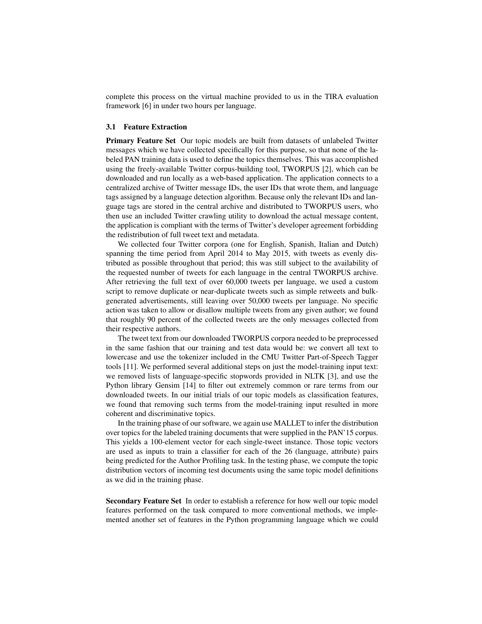complete this process on the virtual machine provided to us in the TIRA evaluation framework [6] in under two hours per language.

### 3.1 Feature Extraction

Primary Feature Set Our topic models are built from datasets of unlabeled Twitter messages which we have collected specifically for this purpose, so that none of the labeled PAN training data is used to define the topics themselves. This was accomplished using the freely-available Twitter corpus-building tool, TWORPUS [2], which can be downloaded and run locally as a web-based application. The application connects to a centralized archive of Twitter message IDs, the user IDs that wrote them, and language tags assigned by a language detection algorithm. Because only the relevant IDs and language tags are stored in the central archive and distributed to TWORPUS users, who then use an included Twitter crawling utility to download the actual message content, the application is compliant with the terms of Twitter's developer agreement forbidding the redistribution of full tweet text and metadata.

We collected four Twitter corpora (one for English, Spanish, Italian and Dutch) spanning the time period from April 2014 to May 2015, with tweets as evenly distributed as possible throughout that period; this was still subject to the availability of the requested number of tweets for each language in the central TWORPUS archive. After retrieving the full text of over 60,000 tweets per language, we used a custom script to remove duplicate or near-duplicate tweets such as simple retweets and bulkgenerated advertisements, still leaving over 50,000 tweets per language. No specific action was taken to allow or disallow multiple tweets from any given author; we found that roughly 90 percent of the collected tweets are the only messages collected from their respective authors.

The tweet text from our downloaded TWORPUS corpora needed to be preprocessed in the same fashion that our training and test data would be: we convert all text to lowercase and use the tokenizer included in the CMU Twitter Part-of-Speech Tagger tools [11]. We performed several additional steps on just the model-training input text: we removed lists of language-specific stopwords provided in NLTK [3], and use the Python library Gensim [14] to filter out extremely common or rare terms from our downloaded tweets. In our initial trials of our topic models as classification features, we found that removing such terms from the model-training input resulted in more coherent and discriminative topics.

In the training phase of our software, we again use MALLET to infer the distribution over topics for the labeled training documents that were supplied in the PAN'15 corpus. This yields a 100-element vector for each single-tweet instance. Those topic vectors are used as inputs to train a classifier for each of the 26 (language, attribute) pairs being predicted for the Author Profiling task. In the testing phase, we compute the topic distribution vectors of incoming test documents using the same topic model definitions as we did in the training phase.

Secondary Feature Set In order to establish a reference for how well our topic model features performed on the task compared to more conventional methods, we implemented another set of features in the Python programming language which we could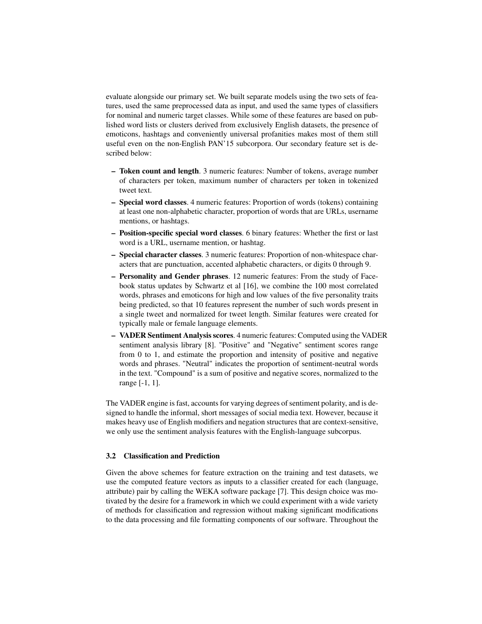evaluate alongside our primary set. We built separate models using the two sets of features, used the same preprocessed data as input, and used the same types of classifiers for nominal and numeric target classes. While some of these features are based on published word lists or clusters derived from exclusively English datasets, the presence of emoticons, hashtags and conveniently universal profanities makes most of them still useful even on the non-English PAN'15 subcorpora. Our secondary feature set is described below:

- Token count and length. 3 numeric features: Number of tokens, average number of characters per token, maximum number of characters per token in tokenized tweet text.
- Special word classes. 4 numeric features: Proportion of words (tokens) containing at least one non-alphabetic character, proportion of words that are URLs, username mentions, or hashtags.
- Position-specific special word classes. 6 binary features: Whether the first or last word is a URL, username mention, or hashtag.
- Special character classes. 3 numeric features: Proportion of non-whitespace characters that are punctuation, accented alphabetic characters, or digits 0 through 9.
- Personality and Gender phrases. 12 numeric features: From the study of Facebook status updates by Schwartz et al [16], we combine the 100 most correlated words, phrases and emoticons for high and low values of the five personality traits being predicted, so that 10 features represent the number of such words present in a single tweet and normalized for tweet length. Similar features were created for typically male or female language elements.
- VADER Sentiment Analysis scores. 4 numeric features: Computed using the VADER sentiment analysis library [8]. "Positive" and "Negative" sentiment scores range from 0 to 1, and estimate the proportion and intensity of positive and negative words and phrases. "Neutral" indicates the proportion of sentiment-neutral words in the text. "Compound" is a sum of positive and negative scores, normalized to the range [-1, 1].

The VADER engine is fast, accounts for varying degrees of sentiment polarity, and is designed to handle the informal, short messages of social media text. However, because it makes heavy use of English modifiers and negation structures that are context-sensitive, we only use the sentiment analysis features with the English-language subcorpus.

#### 3.2 Classification and Prediction

Given the above schemes for feature extraction on the training and test datasets, we use the computed feature vectors as inputs to a classifier created for each (language, attribute) pair by calling the WEKA software package [7]. This design choice was motivated by the desire for a framework in which we could experiment with a wide variety of methods for classification and regression without making significant modifications to the data processing and file formatting components of our software. Throughout the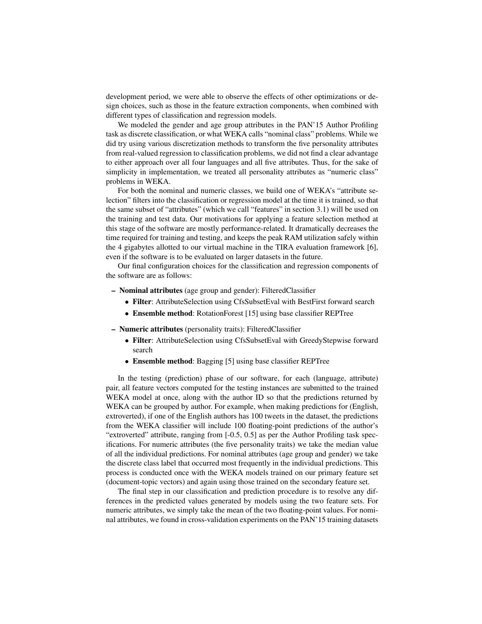development period, we were able to observe the effects of other optimizations or design choices, such as those in the feature extraction components, when combined with different types of classification and regression models.

We modeled the gender and age group attributes in the PAN'15 Author Profiling task as discrete classification, or what WEKA calls "nominal class" problems. While we did try using various discretization methods to transform the five personality attributes from real-valued regression to classification problems, we did not find a clear advantage to either approach over all four languages and all five attributes. Thus, for the sake of simplicity in implementation, we treated all personality attributes as "numeric class" problems in WEKA.

For both the nominal and numeric classes, we build one of WEKA's "attribute selection" filters into the classification or regression model at the time it is trained, so that the same subset of "attributes" (which we call "features" in section 3.1) will be used on the training and test data. Our motivations for applying a feature selection method at this stage of the software are mostly performance-related. It dramatically decreases the time required for training and testing, and keeps the peak RAM utilization safely within the 4 gigabytes allotted to our virtual machine in the TIRA evaluation framework [6], even if the software is to be evaluated on larger datasets in the future.

Our final configuration choices for the classification and regression components of the software are as follows:

- Nominal attributes (age group and gender): FilteredClassifier
	- Filter: AttributeSelection using CfsSubsetEval with BestFirst forward search
	- Ensemble method: RotationForest [15] using base classifier REPTree

– Numeric attributes (personality traits): FilteredClassifier

- Filter: AttributeSelection using CfsSubsetEval with GreedyStepwise forward search
- Ensemble method: Bagging [5] using base classifier REPTree

In the testing (prediction) phase of our software, for each (language, attribute) pair, all feature vectors computed for the testing instances are submitted to the trained WEKA model at once, along with the author ID so that the predictions returned by WEKA can be grouped by author. For example, when making predictions for (English, extroverted), if one of the English authors has 100 tweets in the dataset, the predictions from the WEKA classifier will include 100 floating-point predictions of the author's "extroverted" attribute, ranging from [-0.5, 0.5] as per the Author Profiling task specifications. For numeric attributes (the five personality traits) we take the median value of all the individual predictions. For nominal attributes (age group and gender) we take the discrete class label that occurred most frequently in the individual predictions. This process is conducted once with the WEKA models trained on our primary feature set (document-topic vectors) and again using those trained on the secondary feature set.

The final step in our classification and prediction procedure is to resolve any differences in the predicted values generated by models using the two feature sets. For numeric attributes, we simply take the mean of the two floating-point values. For nominal attributes, we found in cross-validation experiments on the PAN'15 training datasets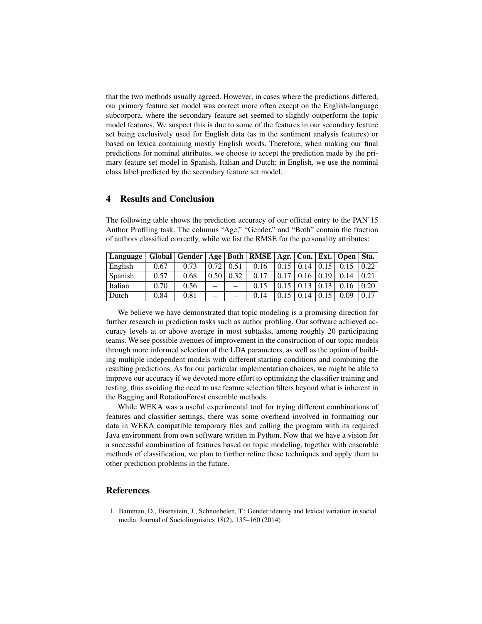that the two methods usually agreed. However, in cases where the predictions differed, our primary feature set model was correct more often except on the English-language subcorpora, where the secondary feature set seemed to slightly outperform the topic model features. We suspect this is due to some of the features in our secondary feature set being exclusively used for English data (as in the sentiment analysis features) or based on lexica containing mostly English words. Therefore, when making our final predictions for nominal attributes, we choose to accept the prediction made by the primary feature set model in Spanish, Italian and Dutch; in English, we use the nominal class label predicted by the secondary feature set model.

# 4 Results and Conclusion

The following table shows the prediction accuracy of our official entry to the PAN'15 Author Profiling task. The columns "Age," "Gender," and "Both" contain the fraction of authors classified correctly, while we list the RMSE for the personality attributes:

| Language    Global    Gender    Age    Both    RMSE    Agr.    Con.    Ext.    Open    Sta. |      |      |      |      |      |      |      |      |      |      |
|---------------------------------------------------------------------------------------------|------|------|------|------|------|------|------|------|------|------|
| English                                                                                     | 0.67 | 0.73 | 0.72 | 0.51 | 0.16 | 0.15 | 0.14 |      |      | 0.22 |
| Spanish                                                                                     | 0.57 | 0.68 |      | 0.32 | 0.17 | 0.17 |      | 0.19 | 0.14 | 0.21 |
| Italian                                                                                     | 0.70 | 0.56 |      |      |      |      |      |      |      | 0.20 |
| Dutch                                                                                       | 0.84 | 0.81 |      |      | 014  |      | 14   |      | 0.09 | 0.17 |

We believe we have demonstrated that topic modeling is a promising direction for further research in prediction tasks such as author profiling. Our software achieved accuracy levels at or above average in most subtasks, among roughly 20 participating teams. We see possible avenues of improvement in the construction of our topic models through more informed selection of the LDA parameters, as well as the option of building multiple independent models with different starting conditions and combining the resulting predictions. As for our particular implementation choices, we might be able to improve our accuracy if we devoted more effort to optimizing the classifier training and testing, thus avoiding the need to use feature selection filters beyond what is inherent in the Bagging and RotationForest ensemble methods.

While WEKA was a useful experimental tool for trying different combinations of features and classifier settings, there was some overhead involved in formatting our data in WEKA compatible temporary files and calling the program with its required Java environment from own software written in Python. Now that we have a vision for a successful combination of features based on topic modeling, together with ensemble methods of classification, we plan to further refine these techniques and apply them to other prediction problems in the future.

## References

1. Bamman, D., Eisenstein, J., Schnoebelen, T.: Gender identity and lexical variation in social media. Journal of Sociolinguistics 18(2), 135–160 (2014)